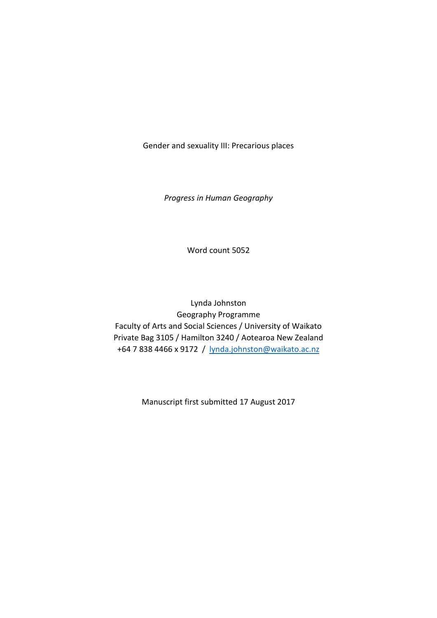Gender and sexuality III: Precarious places

*Progress in Human Geography*

Word count 5052

Lynda Johnston Geography Programme Faculty of Arts and Social Sciences / University of Waikato Private Bag 3105 / Hamilton 3240 / Aotearoa New Zealand +64 7 838 4466 x 9172 / [lynda.johnston@waikato.ac.nz](mailto:lynda.johnston@waikato.ac.nz)

Manuscript first submitted 17 August 2017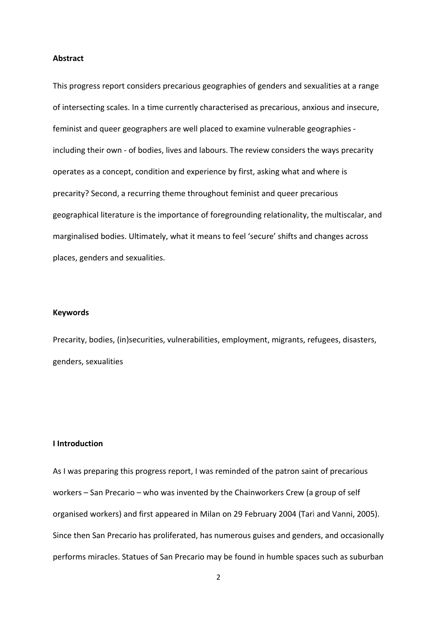## **Abstract**

This progress report considers precarious geographies of genders and sexualities at a range of intersecting scales. In a time currently characterised as precarious, anxious and insecure, feminist and queer geographers are well placed to examine vulnerable geographies including their own - of bodies, lives and labours. The review considers the ways precarity operates as a concept, condition and experience by first, asking what and where is precarity? Second, a recurring theme throughout feminist and queer precarious geographical literature is the importance of foregrounding relationality, the multiscalar, and marginalised bodies. Ultimately, what it means to feel 'secure' shifts and changes across places, genders and sexualities.

## **Keywords**

Precarity, bodies, (in)securities, vulnerabilities, employment, migrants, refugees, disasters, genders, sexualities

## **I Introduction**

As I was preparing this progress report, I was reminded of the patron saint of precarious workers – San Precario – who was invented by the Chainworkers Crew (a group of self organised workers) and first appeared in Milan on 29 February 2004 (Tarì and Vanni, 2005). Since then San Precario has proliferated, has numerous guises and genders, and occasionally performs miracles. Statues of San Precario may be found in humble spaces such as suburban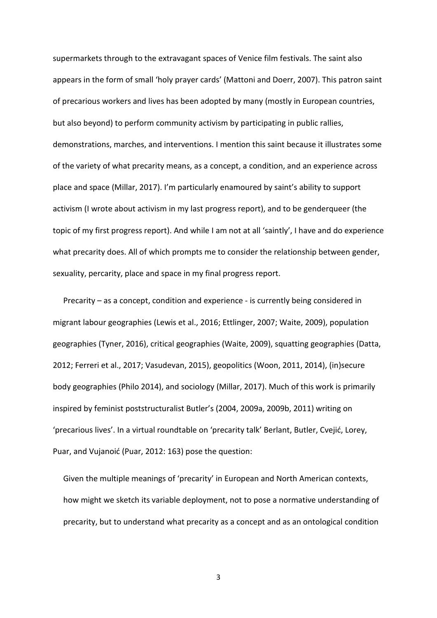supermarkets through to the extravagant spaces of Venice film festivals. The saint also appears in the form of small 'holy prayer cards' (Mattoni and Doerr, 2007). This patron saint of precarious workers and lives has been adopted by many (mostly in European countries, but also beyond) to perform community activism by participating in public rallies, demonstrations, marches, and interventions. I mention this saint because it illustrates some of the variety of what precarity means, as a concept, a condition, and an experience across place and space (Millar, 2017). I'm particularly enamoured by saint's ability to support activism (I wrote about activism in my last progress report), and to be genderqueer (the topic of my first progress report). And while I am not at all 'saintly', I have and do experience what precarity does. All of which prompts me to consider the relationship between gender, sexuality, percarity, place and space in my final progress report.

Precarity – as a concept, condition and experience - is currently being considered in migrant labour geographies (Lewis et al., 2016; Ettlinger, 2007; Waite, 2009), population geographies (Tyner, 2016), critical geographies (Waite, 2009), squatting geographies (Datta, 2012; Ferreri et al., 2017; Vasudevan, 2015), geopolitics (Woon, 2011, 2014), (in)secure body geographies (Philo 2014), and sociology (Millar, 2017). Much of this work is primarily inspired by feminist poststructuralist Butler's (2004, 2009a, 2009b, 2011) writing on 'precarious lives'. In a virtual roundtable on 'precarity talk' Berlant, Butler, Cvejić, Lorey, Puar, and Vujanoić (Puar, 2012: 163) pose the question:

Given the multiple meanings of 'precarity' in European and North American contexts, how might we sketch its variable deployment, not to pose a normative understanding of precarity, but to understand what precarity as a concept and as an ontological condition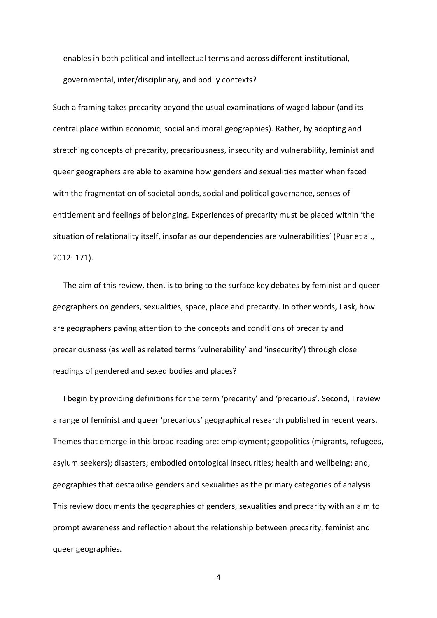enables in both political and intellectual terms and across different institutional, governmental, inter/disciplinary, and bodily contexts?

Such a framing takes precarity beyond the usual examinations of waged labour (and its central place within economic, social and moral geographies). Rather, by adopting and stretching concepts of precarity, precariousness, insecurity and vulnerability, feminist and queer geographers are able to examine how genders and sexualities matter when faced with the fragmentation of societal bonds, social and political governance, senses of entitlement and feelings of belonging. Experiences of precarity must be placed within 'the situation of relationality itself, insofar as our dependencies are vulnerabilities' (Puar et al., 2012: 171).

The aim of this review, then, is to bring to the surface key debates by feminist and queer geographers on genders, sexualities, space, place and precarity. In other words, I ask, how are geographers paying attention to the concepts and conditions of precarity and precariousness (as well as related terms 'vulnerability' and 'insecurity') through close readings of gendered and sexed bodies and places?

I begin by providing definitions for the term 'precarity' and 'precarious'. Second, I review a range of feminist and queer 'precarious' geographical research published in recent years. Themes that emerge in this broad reading are: employment; geopolitics (migrants, refugees, asylum seekers); disasters; embodied ontological insecurities; health and wellbeing; and, geographies that destabilise genders and sexualities as the primary categories of analysis. This review documents the geographies of genders, sexualities and precarity with an aim to prompt awareness and reflection about the relationship between precarity, feminist and queer geographies.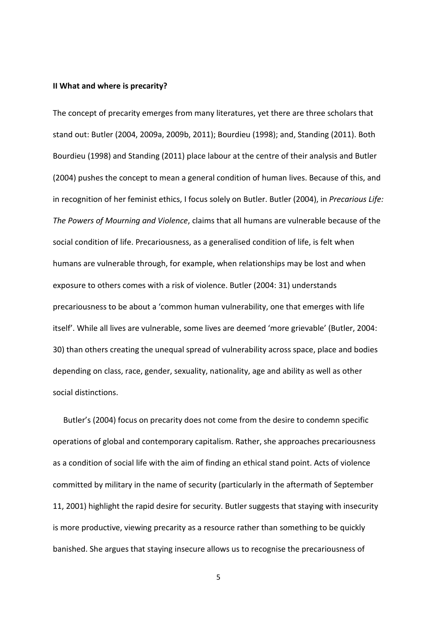### **II What and where is precarity?**

The concept of precarity emerges from many literatures, yet there are three scholars that stand out: Butler (2004, 2009a, 2009b, 2011); Bourdieu (1998); and, Standing (2011). Both Bourdieu (1998) and Standing (2011) place labour at the centre of their analysis and Butler (2004) pushes the concept to mean a general condition of human lives. Because of this, and in recognition of her feminist ethics, I focus solely on Butler. Butler (2004), in *Precarious Life: The Powers of Mourning and Violence*, claims that all humans are vulnerable because of the social condition of life. Precariousness, as a generalised condition of life, is felt when humans are vulnerable through, for example, when relationships may be lost and when exposure to others comes with a risk of violence. Butler (2004: 31) understands precariousness to be about a 'common human vulnerability, one that emerges with life itself'. While all lives are vulnerable, some lives are deemed 'more grievable' (Butler, 2004: 30) than others creating the unequal spread of vulnerability across space, place and bodies depending on class, race, gender, sexuality, nationality, age and ability as well as other social distinctions.

Butler's (2004) focus on precarity does not come from the desire to condemn specific operations of global and contemporary capitalism. Rather, she approaches precariousness as a condition of social life with the aim of finding an ethical stand point. Acts of violence committed by military in the name of security (particularly in the aftermath of September 11, 2001) highlight the rapid desire for security. Butler suggests that staying with insecurity is more productive, viewing precarity as a resource rather than something to be quickly banished. She argues that staying insecure allows us to recognise the precariousness of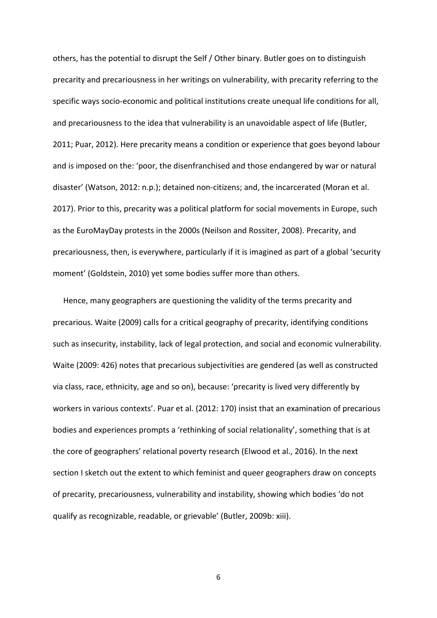others, has the potential to disrupt the Self / Other binary. Butler goes on to distinguish precarity and precariousness in her writings on vulnerability, with precarity referring to the specific ways socio-economic and political institutions create unequal life conditions for all, and precariousness to the idea that vulnerability is an unavoidable aspect of life (Butler, 2011; Puar, 2012). Here precarity means a condition or experience that goes beyond labour and is imposed on the: 'poor, the disenfranchised and those endangered by war or natural disaster' (Watson, 2012: n.p.); detained non-citizens; and, the incarcerated (Moran et al. 2017). Prior to this, precarity was a political platform for social movements in Europe, such as the EuroMayDay protests in the 2000s (Neilson and Rossiter, 2008). Precarity, and precariousness, then, is everywhere, particularly if it is imagined as part of a global 'security moment' (Goldstein, 2010) yet some bodies suffer more than others.

Hence, many geographers are questioning the validity of the terms precarity and precarious. Waite (2009) calls for a critical geography of precarity, identifying conditions such as insecurity, instability, lack of legal protection, and social and economic vulnerability. Waite (2009: 426) notes that precarious subjectivities are gendered (as well as constructed via class, race, ethnicity, age and so on), because: 'precarity is lived very differently by workers in various contexts'. Puar et al. (2012: 170) insist that an examination of precarious bodies and experiences prompts a 'rethinking of social relationality', something that is at the core of geographers' relational poverty research (Elwood et al., 2016). In the next section I sketch out the extent to which feminist and queer geographers draw on concepts of precarity, precariousness, vulnerability and instability, showing which bodies 'do not qualify as recognizable, readable, or grievable' (Butler, 2009b: xiii).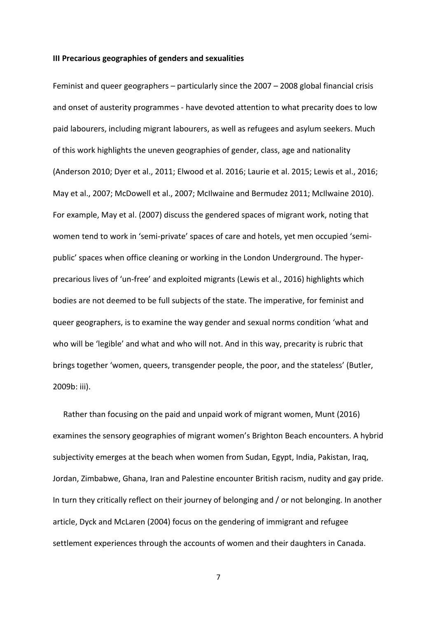### **III Precarious geographies of genders and sexualities**

Feminist and queer geographers – particularly since the 2007 – 2008 global financial crisis and onset of austerity programmes - have devoted attention to what precarity does to low paid labourers, including migrant labourers, as well as refugees and asylum seekers. Much of this work highlights the uneven geographies of gender, class, age and nationality (Anderson 2010; Dyer et al., 2011; Elwood et al. 2016; Laurie et al. 2015; Lewis et al., 2016; May et al., 2007; McDowell et al., 2007; McIlwaine and Bermudez 2011; McIlwaine 2010). For example, May et al. (2007) discuss the gendered spaces of migrant work, noting that women tend to work in 'semi-private' spaces of care and hotels, yet men occupied 'semipublic' spaces when office cleaning or working in the London Underground. The hyperprecarious lives of 'un-free' and exploited migrants (Lewis et al., 2016) highlights which bodies are not deemed to be full subjects of the state. The imperative, for feminist and queer geographers, is to examine the way gender and sexual norms condition 'what and who will be 'legible' and what and who will not. And in this way, precarity is rubric that brings together 'women, queers, transgender people, the poor, and the stateless' (Butler, 2009b: iii).

Rather than focusing on the paid and unpaid work of migrant women, Munt (2016) examines the sensory geographies of migrant women's Brighton Beach encounters. A hybrid subjectivity emerges at the beach when women from Sudan, Egypt, India, Pakistan, Iraq, Jordan, Zimbabwe, Ghana, Iran and Palestine encounter British racism, nudity and gay pride. In turn they critically reflect on their journey of belonging and / or not belonging. In another article, Dyck and McLaren (2004) focus on the gendering of immigrant and refugee settlement experiences through the accounts of women and their daughters in Canada.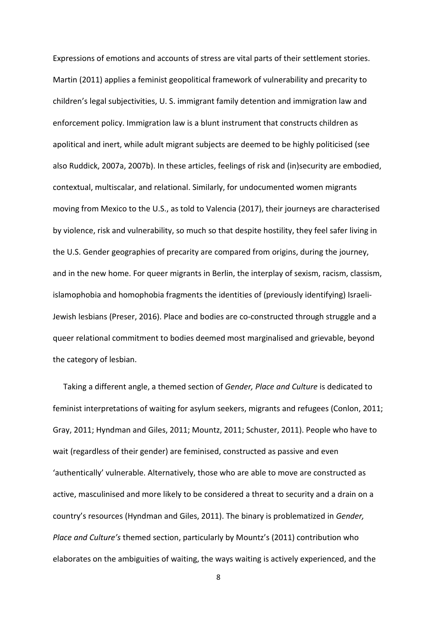Expressions of emotions and accounts of stress are vital parts of their settlement stories. Martin (2011) applies a feminist geopolitical framework of vulnerability and precarity to children's legal subjectivities, U. S. immigrant family detention and immigration law and enforcement policy. Immigration law is a blunt instrument that constructs children as apolitical and inert, while adult migrant subjects are deemed to be highly politicised (see also Ruddick, 2007a, 2007b). In these articles, feelings of risk and (in)security are embodied, contextual, multiscalar, and relational. Similarly, for undocumented women migrants moving from Mexico to the U.S., as told to Valencia (2017), their journeys are characterised by violence, risk and vulnerability, so much so that despite hostility, they feel safer living in the U.S. Gender geographies of precarity are compared from origins, during the journey, and in the new home. For queer migrants in Berlin, the interplay of sexism, racism, classism, islamophobia and homophobia fragments the identities of (previously identifying) Israeli-Jewish lesbians (Preser, 2016). Place and bodies are co-constructed through struggle and a queer relational commitment to bodies deemed most marginalised and grievable, beyond the category of lesbian.

Taking a different angle, a themed section of *Gender, Place and Culture* is dedicated to feminist interpretations of waiting for asylum seekers, migrants and refugees (Conlon, 2011; Gray, 2011; Hyndman and Giles, 2011; Mountz, 2011; Schuster, 2011). People who have to wait (regardless of their gender) are feminised, constructed as passive and even 'authentically' vulnerable. Alternatively, those who are able to move are constructed as active, masculinised and more likely to be considered a threat to security and a drain on a country's resources (Hyndman and Giles, 2011). The binary is problematized in *Gender, Place and Culture's* themed section, particularly by Mountz's (2011) contribution who elaborates on the ambiguities of waiting, the ways waiting is actively experienced, and the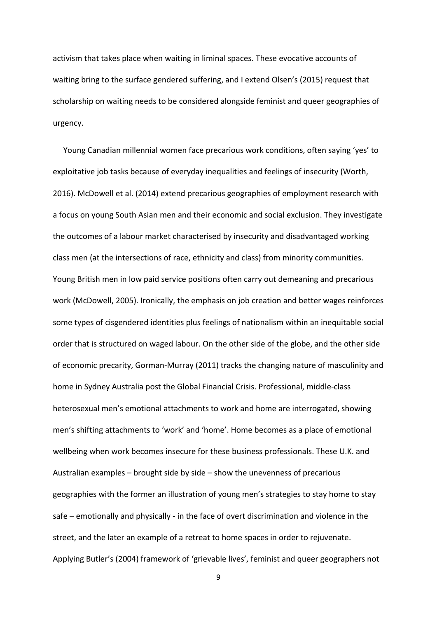activism that takes place when waiting in liminal spaces. These evocative accounts of waiting bring to the surface gendered suffering, and I extend Olsen's (2015) request that scholarship on waiting needs to be considered alongside feminist and queer geographies of urgency.

Young Canadian millennial women face precarious work conditions, often saying 'yes' to exploitative job tasks because of everyday inequalities and feelings of insecurity (Worth, 2016). McDowell et al. (2014) extend precarious geographies of employment research with a focus on young South Asian men and their economic and social exclusion. They investigate the outcomes of a labour market characterised by insecurity and disadvantaged working class men (at the intersections of race, ethnicity and class) from minority communities. Young British men in low paid service positions often carry out demeaning and precarious work (McDowell, 2005). Ironically, the emphasis on job creation and better wages reinforces some types of cisgendered identities plus feelings of nationalism within an inequitable social order that is structured on waged labour. On the other side of the globe, and the other side of economic precarity, Gorman-Murray (2011) tracks the changing nature of masculinity and home in Sydney Australia post the Global Financial Crisis. Professional, middle-class heterosexual men's emotional attachments to work and home are interrogated, showing men's shifting attachments to 'work' and 'home'. Home becomes as a place of emotional wellbeing when work becomes insecure for these business professionals. These U.K. and Australian examples – brought side by side – show the unevenness of precarious geographies with the former an illustration of young men's strategies to stay home to stay safe – emotionally and physically - in the face of overt discrimination and violence in the street, and the later an example of a retreat to home spaces in order to rejuvenate. Applying Butler's (2004) framework of 'grievable lives', feminist and queer geographers not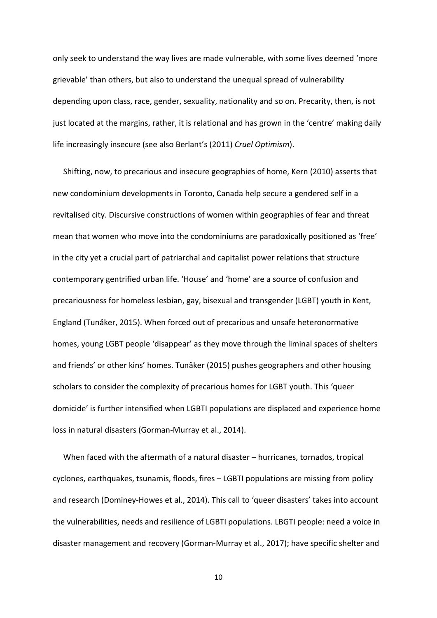only seek to understand the way lives are made vulnerable, with some lives deemed 'more grievable' than others, but also to understand the unequal spread of vulnerability depending upon class, race, gender, sexuality, nationality and so on. Precarity, then, is not just located at the margins, rather, it is relational and has grown in the 'centre' making daily life increasingly insecure (see also Berlant's (2011) *Cruel Optimism*).

Shifting, now, to precarious and insecure geographies of home, Kern (2010) asserts that new condominium developments in Toronto, Canada help secure a gendered self in a revitalised city. Discursive constructions of women within geographies of fear and threat mean that women who move into the condominiums are paradoxically positioned as 'free' in the city yet a crucial part of patriarchal and capitalist power relations that structure contemporary gentrified urban life. 'House' and 'home' are a source of confusion and precariousness for homeless lesbian, gay, bisexual and transgender (LGBT) youth in Kent, England (Tunåker, 2015). When forced out of precarious and unsafe heteronormative homes, young LGBT people 'disappear' as they move through the liminal spaces of shelters and friends' or other kins' homes. Tunåker (2015) pushes geographers and other housing scholars to consider the complexity of precarious homes for LGBT youth. This 'queer domicide' is further intensified when LGBTI populations are displaced and experience home loss in natural disasters (Gorman-Murray et al., 2014).

When faced with the aftermath of a natural disaster – hurricanes, tornados, tropical cyclones, earthquakes, tsunamis, floods, fires – LGBTI populations are missing from policy and research (Dominey-Howes et al., 2014). This call to 'queer disasters' takes into account the vulnerabilities, needs and resilience of LGBTI populations. LBGTI people: need a voice in disaster management and recovery (Gorman-Murray et al., 2017); have specific shelter and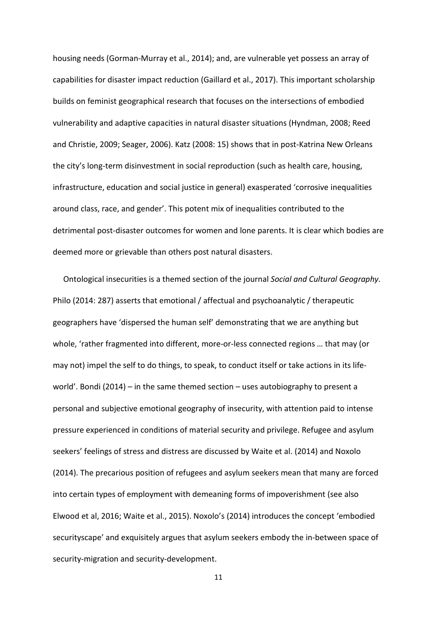housing needs (Gorman-Murray et al., 2014); and, are vulnerable yet possess an array of capabilities for disaster impact reduction (Gaillard et al., 2017). This important scholarship builds on feminist geographical research that focuses on the intersections of embodied vulnerability and adaptive capacities in natural disaster situations (Hyndman, 2008; Reed and Christie, 2009; Seager, 2006). Katz (2008: 15) shows that in post-Katrina New Orleans the city's long-term disinvestment in social reproduction (such as health care, housing, infrastructure, education and social justice in general) exasperated 'corrosive inequalities around class, race, and gender'. This potent mix of inequalities contributed to the detrimental post-disaster outcomes for women and lone parents. It is clear which bodies are deemed more or grievable than others post natural disasters.

Ontological insecurities is a themed section of the journal *Social and Cultural Geography.* Philo (2014: 287) asserts that emotional / affectual and psychoanalytic / therapeutic geographers have 'dispersed the human self' demonstrating that we are anything but whole, 'rather fragmented into different, more-or-less connected regions … that may (or may not) impel the self to do things, to speak, to conduct itself or take actions in its lifeworld'. Bondi (2014) – in the same themed section – uses autobiography to present a personal and subjective emotional geography of insecurity, with attention paid to intense pressure experienced in conditions of material security and privilege. Refugee and asylum seekers' feelings of stress and distress are discussed by Waite et al. (2014) and Noxolo (2014). The precarious position of refugees and asylum seekers mean that many are forced into certain types of employment with demeaning forms of impoverishment (see also Elwood et al, 2016; Waite et al., 2015). Noxolo's (2014) introduces the concept 'embodied securityscape' and exquisitely argues that asylum seekers embody the in-between space of security-migration and security-development.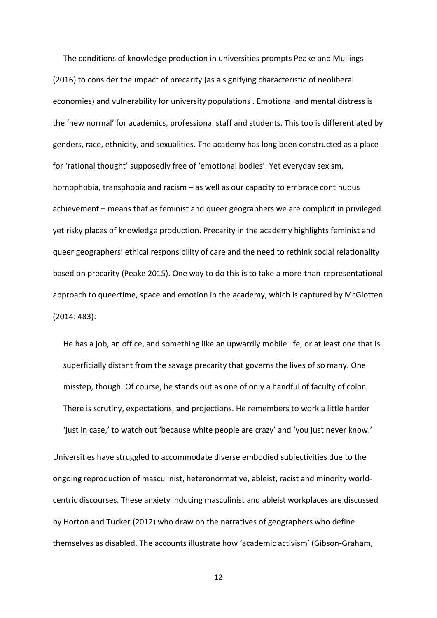The conditions of knowledge production in universities prompts Peake and Mullings (2016) to consider the impact of precarity (as a signifying characteristic of neoliberal economies) and vulnerability for university populations . Emotional and mental distress is the 'new normal' for academics, professional staff and students. This too is differentiated by genders, race, ethnicity, and sexualities. The academy has long been constructed as a place for 'rational thought' supposedly free of 'emotional bodies'. Yet everyday sexism, homophobia, transphobia and racism – as well as our capacity to embrace continuous achievement – means that as feminist and queer geographers we are complicit in privileged yet risky places of knowledge production. Precarity in the academy highlights feminist and queer geographers' ethical responsibility of care and the need to rethink social relationality based on precarity (Peake 2015). One way to do this is to take a more-than-representational approach to queertime, space and emotion in the academy, which is captured by McGlotten (2014: 483):

He has a job, an office, and something like an upwardly mobile life, or at least one that is superficially distant from the savage precarity that governs the lives of so many. One misstep, though. Of course, he stands out as one of only a handful of faculty of color. There is scrutiny, expectations, and projections. He remembers to work a little harder 'just in case,' to watch out 'because white people are crazy' and 'you just never know.'

Universities have struggled to accommodate diverse embodied subjectivities due to the ongoing reproduction of masculinist, heteronormative, ableist, racist and minority worldcentric discourses. These anxiety inducing masculinist and ableist workplaces are discussed by Horton and Tucker (2012) who draw on the narratives of geographers who define themselves as disabled. The accounts illustrate how 'academic activism' (Gibson-Graham,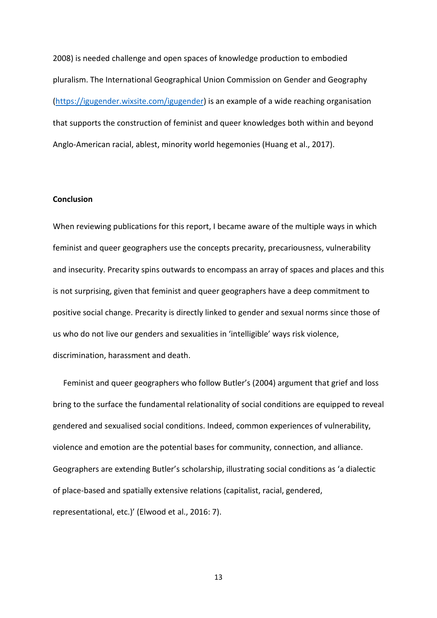2008) is needed challenge and open spaces of knowledge production to embodied pluralism. The International Geographical Union Commission on Gender and Geography [\(https://igugender.wixsite.com/igugender\)](https://igugender.wixsite.com/igugender) is an example of a wide reaching organisation that supports the construction of feminist and queer knowledges both within and beyond Anglo-American racial, ablest, minority world hegemonies (Huang et al., 2017).

## **Conclusion**

When reviewing publications for this report, I became aware of the multiple ways in which feminist and queer geographers use the concepts precarity, precariousness, vulnerability and insecurity. Precarity spins outwards to encompass an array of spaces and places and this is not surprising, given that feminist and queer geographers have a deep commitment to positive social change. Precarity is directly linked to gender and sexual norms since those of us who do not live our genders and sexualities in 'intelligible' ways risk violence, discrimination, harassment and death.

Feminist and queer geographers who follow Butler's (2004) argument that grief and loss bring to the surface the fundamental relationality of social conditions are equipped to reveal gendered and sexualised social conditions. Indeed, common experiences of vulnerability, violence and emotion are the potential bases for community, connection, and alliance. Geographers are extending Butler's scholarship, illustrating social conditions as 'a dialectic of place-based and spatially extensive relations (capitalist, racial, gendered, representational, etc.)' (Elwood et al., 2016: 7).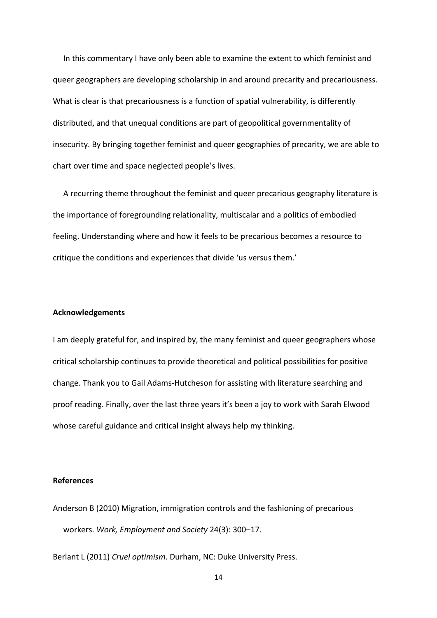In this commentary I have only been able to examine the extent to which feminist and queer geographers are developing scholarship in and around precarity and precariousness. What is clear is that precariousness is a function of spatial vulnerability, is differently distributed, and that unequal conditions are part of geopolitical governmentality of insecurity. By bringing together feminist and queer geographies of precarity, we are able to chart over time and space neglected people's lives.

A recurring theme throughout the feminist and queer precarious geography literature is the importance of foregrounding relationality, multiscalar and a politics of embodied feeling. Understanding where and how it feels to be precarious becomes a resource to critique the conditions and experiences that divide 'us versus them.'

#### **Acknowledgements**

I am deeply grateful for, and inspired by, the many feminist and queer geographers whose critical scholarship continues to provide theoretical and political possibilities for positive change. Thank you to Gail Adams-Hutcheson for assisting with literature searching and proof reading. Finally, over the last three years it's been a joy to work with Sarah Elwood whose careful guidance and critical insight always help my thinking.

# **References**

Anderson B (2010) Migration, immigration controls and the fashioning of precarious workers. *Work, Employment and Society* 24(3): 300–17.

Berlant L (2011) *Cruel optimism*. Durham, NC: Duke University Press.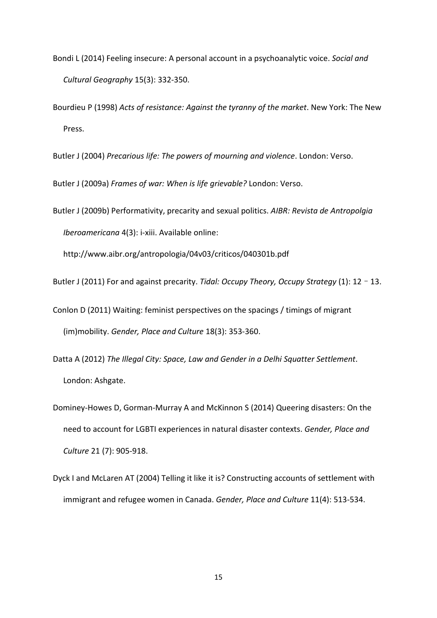- Bondi L (2014) Feeling insecure: A personal account in a psychoanalytic voice. *Social and Cultural Geography* 15(3): 332-350.
- Bourdieu P (1998) *Acts of resistance: Against the tyranny of the market*. New York: The New Press.

Butler J (2004) *Precarious life: The powers of mourning and violence*. London: Verso.

Butler J (2009a) *Frames of war: When is life grievable?* London: Verso.

Butler J (2009b) Performativity, precarity and sexual politics. *AIBR: Revista de Antropolgia Iberoamericana* 4(3): i-xiii. Available online:

http://www.aibr.org/antropologia/04v03/criticos/040301b.pdf

Butler J (2011) For and against precarity. *Tidal: Occupy Theory, Occupy Strategy* (1): 12–13.

- Conlon D (2011) Waiting: feminist perspectives on the spacings / timings of migrant (im)mobility. *Gender, Place and Culture* 18(3): 353-360.
- Datta A (2012) *The Illegal City: Space, Law and Gender in a Delhi Squatter Settlement*. London: Ashgate.
- Dominey-Howes D, Gorman-Murray A and McKinnon S (2014) Queering disasters: On the need to account for LGBTI experiences in natural disaster contexts. *Gender, Place and Culture* 21 (7): 905-918.
- Dyck I and McLaren AT (2004) Telling it like it is? Constructing accounts of settlement with immigrant and refugee women in Canada. *Gender, Place and Culture* 11(4): 513-534.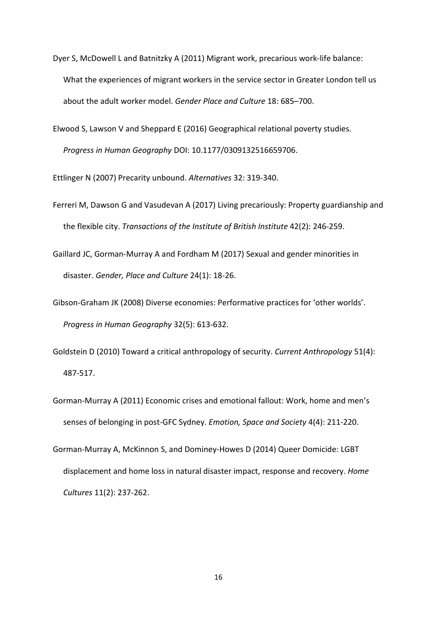- Dyer S, McDowell L and Batnitzky A (2011) Migrant work, precarious work-life balance: What the experiences of migrant workers in the service sector in Greater London tell us about the adult worker model. *Gender Place and Culture* 18: 685–700.
- Elwood S, Lawson V and Sheppard E (2016) Geographical relational poverty studies. *Progress in Human Geography* DOI: 10.1177/0309132516659706.

Ettlinger N (2007) Precarity unbound. *Alternatives* 32: 319-340.

- Ferreri M, Dawson G and Vasudevan A (2017) Living precariously: Property guardianship and the flexible city. *Transactions of the Institute of British Institute* 42(2): 246-259.
- Gaillard JC, Gorman-Murray A and Fordham M (2017) Sexual and gender minorities in disaster. *Gender, Place and Culture* 24(1): 18-26.
- Gibson-Graham JK (2008) Diverse economies: Performative practices for 'other worlds'. *Progress in Human Geography* 32(5): 613-632.
- Goldstein D (2010) Toward a critical anthropology of security. *Current Anthropology* 51(4): 487-517.
- Gorman-Murray A (2011) Economic crises and emotional fallout: Work, home and men's senses of belonging in post-GFC Sydney. *Emotion, Space and Society* 4(4): 211-220.
- Gorman-Murray A, McKinnon S, and Dominey-Howes D (2014) Queer Domicide: LGBT displacement and home loss in natural disaster impact, response and recovery. *Home Cultures* 11(2): 237-262.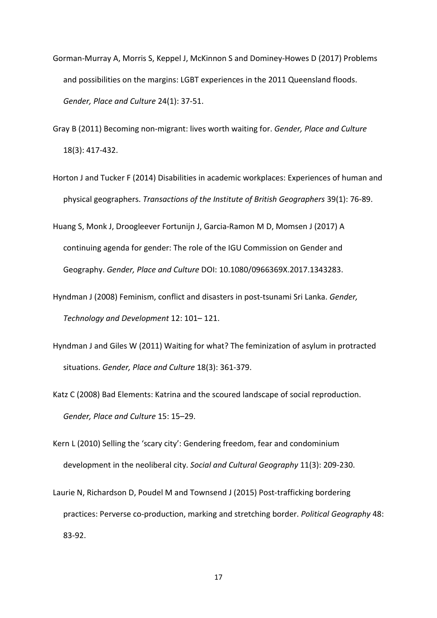- Gorman-Murray A, Morris S, Keppel J, McKinnon S and Dominey-Howes D (2017) Problems and possibilities on the margins: LGBT experiences in the 2011 Queensland floods. *Gender, Place and Culture* 24(1): 37-51.
- Gray B (2011) Becoming non-migrant: lives worth waiting for. *Gender, Place and Culture* 18(3): 417-432.
- Horton J and Tucker F (2014) Disabilities in academic workplaces: Experiences of human and physical geographers. *Transactions of the Institute of British Geographers* 39(1): 76-89.
- Huang S, Monk J, Droogleever Fortunijn J, Garcia-Ramon M D, Momsen J (2017) A continuing agenda for gender: The role of the IGU Commission on Gender and Geography. *Gender, Place and Culture* DOI: 10.1080/0966369X.2017.1343283.
- Hyndman J (2008) Feminism, conflict and disasters in post-tsunami Sri Lanka. *Gender, Technology and Development* 12: 101– 121.
- Hyndman J and Giles W (2011) Waiting for what? The feminization of asylum in protracted situations. *Gender, Place and Culture* 18(3): 361-379.
- Katz C (2008) Bad Elements: Katrina and the scoured landscape of social reproduction. *Gender, Place and Culture* 15: 15–29.
- Kern L (2010) Selling the 'scary city': Gendering freedom, fear and condominium development in the neoliberal city. *Social and Cultural Geography* 11(3): 209-230.
- Laurie N, Richardson D, Poudel M and Townsend J (2015) Post-trafficking bordering practices: Perverse co-production, marking and stretching border. *Political Geography* 48: 83-92.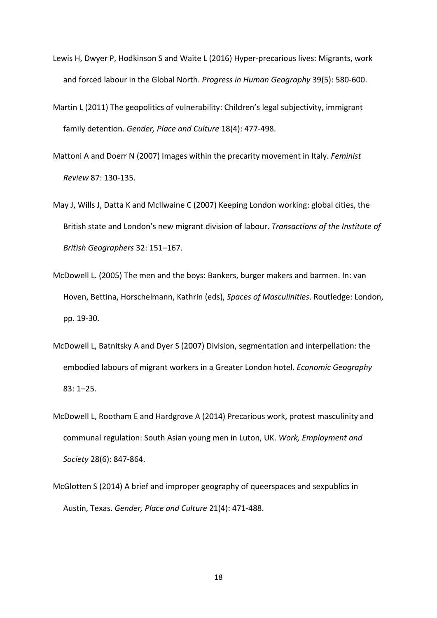- Lewis H, Dwyer P, Hodkinson S and Waite L (2016) Hyper-precarious lives: Migrants, work and forced labour in the Global North. *Progress in Human Geography* 39(5): 580-600.
- Martin L (2011) The geopolitics of vulnerability: Children's legal subjectivity, immigrant family detention. *Gender, Place and Culture* 18(4): 477-498.
- Mattoni A and Doerr N (2007) Images within the precarity movement in Italy. *Feminist Review* 87: 130-135.
- May J, Wills J, Datta K and McIlwaine C (2007) Keeping London working: global cities, the British state and London's new migrant division of labour. *Transactions of the Institute of British Geographers* 32: 151–167.
- McDowell L. (2005) The men and the boys: Bankers, burger makers and barmen. In: van Hoven, Bettina, Horschelmann, Kathrin (eds), *Spaces of Masculinities*. Routledge: London, pp. 19-30.
- McDowell L, Batnitsky A and Dyer S (2007) Division, segmentation and interpellation: the embodied labours of migrant workers in a Greater London hotel. *Economic Geography*  83: 1–25.
- McDowell L, Rootham E and Hardgrove A (2014) Precarious work, protest masculinity and communal regulation: South Asian young men in Luton, UK. *Work, Employment and Society* 28(6): 847-864.
- McGlotten S (2014) A brief and improper geography of queerspaces and sexpublics in Austin, Texas. *Gender, Place and Culture* 21(4): 471-488.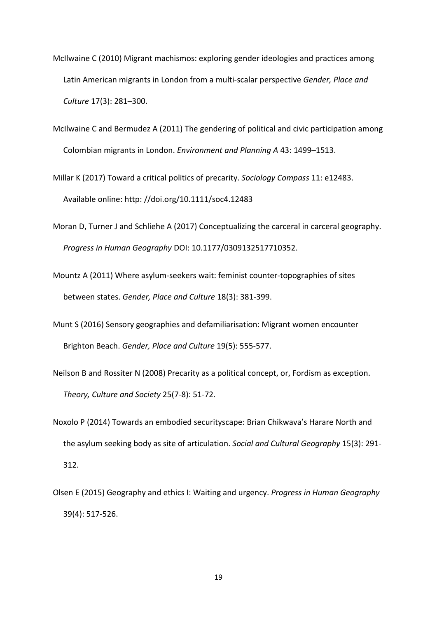- McIlwaine C (2010) Migrant machismos: exploring gender ideologies and practices among Latin American migrants in London from a multi-scalar perspective *Gender, Place and Culture* 17(3): 281–300.
- McIlwaine C and Bermudez A (2011) The gendering of political and civic participation among Colombian migrants in London. *Environment and Planning A* 43: 1499–1513.
- Millar K (2017) Toward a critical politics of precarity. *Sociology Compass* 11: e12483. Available online: http: //doi.org/10.1111/soc4.12483
- Moran D, Turner J and Schliehe A (2017) Conceptualizing the carceral in carceral geography. *Progress in Human Geography* DOI: 10.1177/0309132517710352.
- Mountz A (2011) Where asylum-seekers wait: feminist counter-topographies of sites between states. *Gender, Place and Culture* 18(3): 381-399.
- Munt S (2016) Sensory geographies and defamiliarisation: Migrant women encounter Brighton Beach. *Gender, Place and Culture* 19(5): 555-577.
- Neilson B and Rossiter N (2008) Precarity as a political concept, or, Fordism as exception. *Theory, Culture and Society* 25(7-8): 51-72.
- Noxolo P (2014) Towards an embodied securityscape: Brian Chikwava's Harare North and the asylum seeking body as site of articulation. *Social and Cultural Geography* 15(3): 291- 312.
- Olsen E (2015) Geography and ethics I: Waiting and urgency. *Progress in Human Geography* 39(4): 517-526.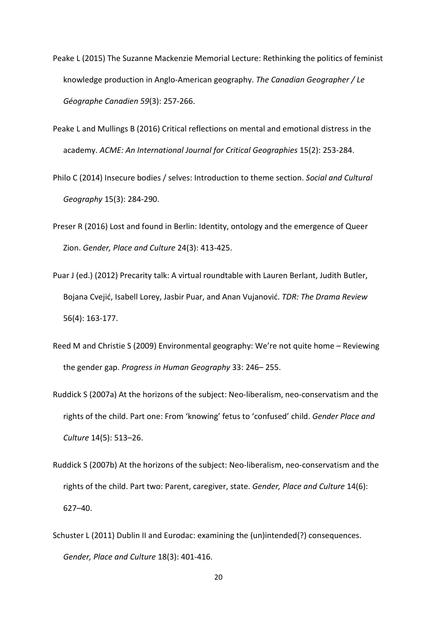- Peake L (2015) The Suzanne Mackenzie Memorial Lecture: Rethinking the politics of feminist knowledge production in Anglo-American geography. *The Canadian Geographer / Le Géographe Canadien 59*(3): 257-266.
- Peake L and Mullings B (2016) Critical reflections on mental and emotional distress in the academy. *ACME: An International Journal for Critical Geographies* 15(2): 253-284.
- Philo C (2014) Insecure bodies / selves: Introduction to theme section. *Social and Cultural Geography* 15(3): 284-290.
- Preser R (2016) Lost and found in Berlin: Identity, ontology and the emergence of Queer Zion. *Gender, Place and Culture* 24(3): 413-425.
- Puar J (ed.) (2012) Precarity talk: A virtual roundtable with Lauren Berlant, Judith Butler, Bojana Cvejić, Isabell Lorey, Jasbir Puar, and Anan Vujanović. *TDR: The Drama Review* 56(4): 163-177.
- Reed M and Christie S (2009) Environmental geography: We're not quite home Reviewing the gender gap. *Progress in Human Geography* 33: 246– 255.
- Ruddick S (2007a) At the horizons of the subject: Neo-liberalism, neo-conservatism and the rights of the child. Part one: From 'knowing' fetus to 'confused' child. *Gender Place and Culture* 14(5): 513–26.
- Ruddick S (2007b) At the horizons of the subject: Neo-liberalism, neo-conservatism and the rights of the child. Part two: Parent, caregiver, state. *Gender, Place and Culture* 14(6): 627–40.
- Schuster L (2011) Dublin II and Eurodac: examining the (un)intended(?) consequences. *Gender, Place and Culture* 18(3): 401-416.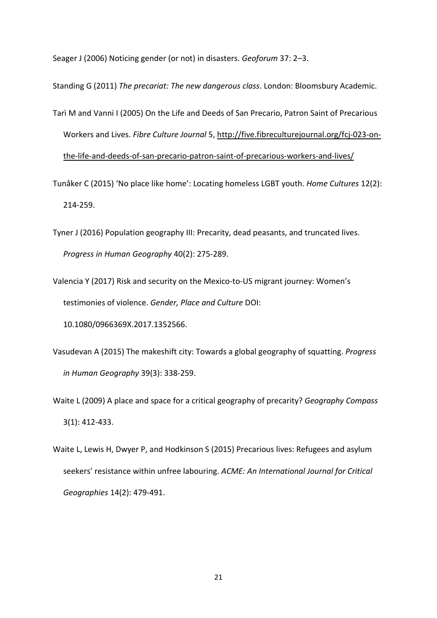Seager J (2006) Noticing gender (or not) in disasters. *Geoforum* 37: 2–3.

Standing G (2011) *The precariat: The new dangerous class*. London: Bloomsbury Academic.

- Tarì M and Vanni I (2005) On the Life and Deeds of San Precario, Patron Saint of Precarious Workers and Lives. *Fibre Culture Journal* 5, [http://five.fibreculturejournal.org/fcj-023-on](http://five.fibreculturejournal.org/fcj-023-on-the-life-and-deeds-of-san-precario-patron-saint-of-precarious-workers-and-lives/)[the-life-and-deeds-of-san-precario-patron-saint-of-precarious-workers-and-lives/](http://five.fibreculturejournal.org/fcj-023-on-the-life-and-deeds-of-san-precario-patron-saint-of-precarious-workers-and-lives/)
- Tunåker C (2015) 'No place like home': Locating homeless LGBT youth. *Home Cultures* 12(2): 214-259.
- Tyner J (2016) Population geography III: Precarity, dead peasants, and truncated lives. *Progress in Human Geography* 40(2): 275-289.
- Valencia Y (2017) Risk and security on the Mexico-to-US migrant journey: Women's testimonies of violence. *Gender, Place and Culture* DOI:

10.1080/0966369X.2017.1352566.

- Vasudevan A (2015) The makeshift city: Towards a global geography of squatting. *Progress in Human Geography* 39(3): 338-259.
- Waite L (2009) A place and space for a critical geography of precarity? *Geography Compass* 3(1): 412-433.
- Waite L, Lewis H, Dwyer P, and Hodkinson S (2015) Precarious lives: Refugees and asylum seekers' resistance within unfree labouring. *ACME: An International Journal for Critical Geographies* 14(2): 479-491.